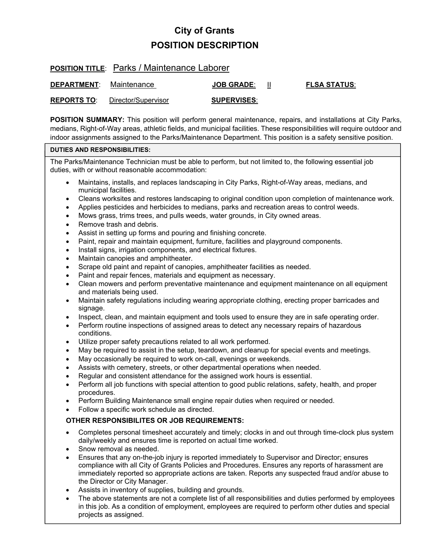# **City of Grants POSITION DESCRIPTION**

### **POSITION TITLE**: Parks / Maintenance Laborer

| <b>DEPARTMENT:</b> | Maintenance         | <b>JOB GRADE:</b>  | <b>FLSA STATUS:</b> |
|--------------------|---------------------|--------------------|---------------------|
| <b>REPORTS TO:</b> | Director/Supervisor | <b>SUPERVISES:</b> |                     |

**POSITION SUMMARY:** This position will perform general maintenance, repairs, and installations at City Parks, medians, Right-of-Way areas, athletic fields, and municipal facilities. These responsibilities will require outdoor and indoor assignments assigned to the Parks/Maintenance Department. This position is a safety sensitive position.

### **DUTIES AND RESPONSIBILITIES:**

The Parks/Maintenance Technician must be able to perform, but not limited to, the following essential job duties, with or without reasonable accommodation:

- Maintains, installs, and replaces landscaping in City Parks, Right-of-Way areas, medians, and municipal facilities.
- Cleans worksites and restores landscaping to original condition upon completion of maintenance work.
- Applies pesticides and herbicides to medians, parks and recreation areas to control weeds.
- Mows grass, trims trees, and pulls weeds, water grounds, in City owned areas.
- Remove trash and debris.
- Assist in setting up forms and pouring and finishing concrete.
- Paint, repair and maintain equipment, furniture, facilities and playground components.
- Install signs, irrigation components, and electrical fixtures.
- Maintain canopies and amphitheater.
- Scrape old paint and repaint of canopies, amphitheater facilities as needed.
- Paint and repair fences, materials and equipment as necessary.
- Clean mowers and perform preventative maintenance and equipment maintenance on all equipment and materials being used.
- Maintain safety regulations including wearing appropriate clothing, erecting proper barricades and signage.
- Inspect, clean, and maintain equipment and tools used to ensure they are in safe operating order.
- Perform routine inspections of assigned areas to detect any necessary repairs of hazardous conditions.
- Utilize proper safety precautions related to all work performed.
- May be required to assist in the setup, teardown, and cleanup for special events and meetings.
- May occasionally be required to work on-call, evenings or weekends.
- Assists with cemetery, streets, or other departmental operations when needed.
- Regular and consistent attendance for the assigned work hours is essential.
- Perform all job functions with special attention to good public relations, safety, health, and proper procedures.
- Perform Building Maintenance small engine repair duties when required or needed.
- Follow a specific work schedule as directed.

### **OTHER RESPONSIBILITES OR JOB REQUIREMENTS:**

- Completes personal timesheet accurately and timely; clocks in and out through time-clock plus system daily/weekly and ensures time is reported on actual time worked.
- Snow removal as needed.
- Ensures that any on-the-job injury is reported immediately to Supervisor and Director; ensures compliance with all City of Grants Policies and Procedures. Ensures any reports of harassment are immediately reported so appropriate actions are taken. Reports any suspected fraud and/or abuse to the Director or City Manager.
- Assists in inventory of supplies, building and grounds.
- The above statements are not a complete list of all responsibilities and duties performed by employees in this job. As a condition of employment, employees are required to perform other duties and special projects as assigned.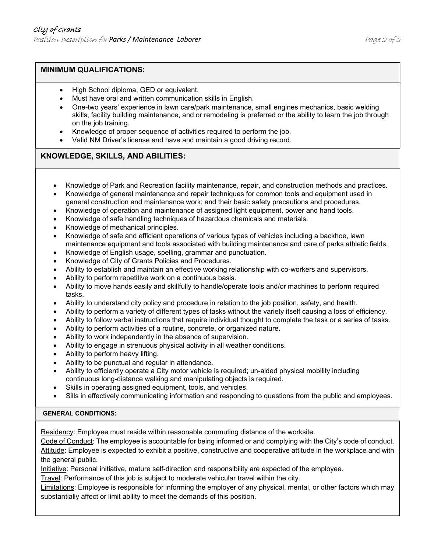## **MINIMUM QUALIFICATIONS:**

- High School diploma, GED or equivalent.
- Must have oral and written communication skills in English.
- One-two years' experience in lawn care/park maintenance, small engines mechanics, basic welding skills, facility building maintenance, and or remodeling is preferred or the ability to learn the job through on the job training.
- Knowledge of proper sequence of activities required to perform the job.
- Valid NM Driver's license and have and maintain a good driving record.

### **KNOWLEDGE, SKILLS, AND ABILITIES:**

- Knowledge of Park and Recreation facility maintenance, repair, and construction methods and practices.
- Knowledge of general maintenance and repair techniques for common tools and equipment used in general construction and maintenance work; and their basic safety precautions and procedures.
- Knowledge of operation and maintenance of assigned light equipment, power and hand tools.
- Knowledge of safe handling techniques of hazardous chemicals and materials.
- Knowledge of mechanical principles.
- Knowledge of safe and efficient operations of various types of vehicles including a backhoe, lawn maintenance equipment and tools associated with building maintenance and care of parks athletic fields.
- Knowledge of English usage, spelling, grammar and punctuation.
- Knowledge of City of Grants Policies and Procedures.
- Ability to establish and maintain an effective working relationship with co-workers and supervisors.
- Ability to perform repetitive work on a continuous basis.
- Ability to move hands easily and skillfully to handle/operate tools and/or machines to perform required tasks.
- Ability to understand city policy and procedure in relation to the job position, safety, and health.
- Ability to perform a variety of different types of tasks without the variety itself causing a loss of efficiency.
- Ability to follow verbal instructions that require individual thought to complete the task or a series of tasks.
- Ability to perform activities of a routine, concrete, or organized nature.
- Ability to work independently in the absence of supervision.
- Ability to engage in strenuous physical activity in all weather conditions.
- Ability to perform heavy lifting.
- Ability to be punctual and regular in attendance.
- Ability to efficiently operate a City motor vehicle is required; un-aided physical mobility including continuous long-distance walking and manipulating objects is required.
- Skills in operating assigned equipment, tools, and vehicles.
- Sills in effectively communicating information and responding to questions from the public and employees.

### **GENERAL CONDITIONS:**

Residency: Employee must reside within reasonable commuting distance of the worksite.

Code of Conduct: The employee is accountable for being informed or and complying with the City's code of conduct. Attitude: Employee is expected to exhibit a positive, constructive and cooperative attitude in the workplace and with the general public.

Initiative: Personal initiative, mature self-direction and responsibility are expected of the employee.

Travel: Performance of this job is subject to moderate vehicular travel within the city.

Limitations: Employee is responsible for informing the employer of any physical, mental, or other factors which may substantially affect or limit ability to meet the demands of this position.